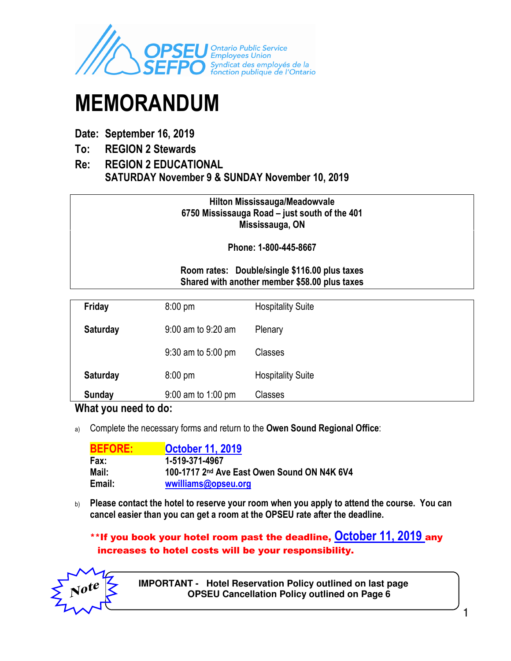

# MEMORANDUM

## Date: September 16, 2019

- To: REGION 2 Stewards
- Re: REGION 2 EDUCATIONAL SATURDAY November 9 & SUNDAY November 10, 2019

## Hilton Mississauga/Meadowvale 6750 Mississauga Road – just south of the 401 Mississauga, ON

Phone: 1-800-445-8667

## Room rates: Double/single \$116.00 plus taxes Shared with another member \$58.00 plus taxes

| Friday          | $8:00 \text{ pm}$    | <b>Hospitality Suite</b> |
|-----------------|----------------------|--------------------------|
| Saturday        | 9:00 am to 9:20 am   | Plenary                  |
|                 | 9:30 am to 5:00 pm   | Classes                  |
| <b>Saturday</b> | $8:00 \text{ pm}$    | <b>Hospitality Suite</b> |
| <b>Sunday</b>   | $9:00$ am to 1:00 pm | Classes                  |

## What you need to do:

a) Complete the necessary forms and return to the Owen Sound Regional Office:

| <b>BEFORE:</b> | <b>October 11, 2019</b>                     |
|----------------|---------------------------------------------|
| Fax:           | 1-519-371-4967                              |
| Mail:          | 100-1717 2nd Ave East Owen Sound ON N4K 6V4 |
| Email:         | wwilliams@opseu.org                         |

b) Please contact the hotel to reserve your room when you apply to attend the course. You can cancel easier than you can get a room at the OPSEU rate after the deadline.

## \*\*If you book your hotel room past the deadline, October 11, 2019 any increases to hotel costs will be your responsibility.



 **IMPORTANT - Hotel Reservation Policy outlined on last page OPSEU Cancellation Policy outlined on Page 6**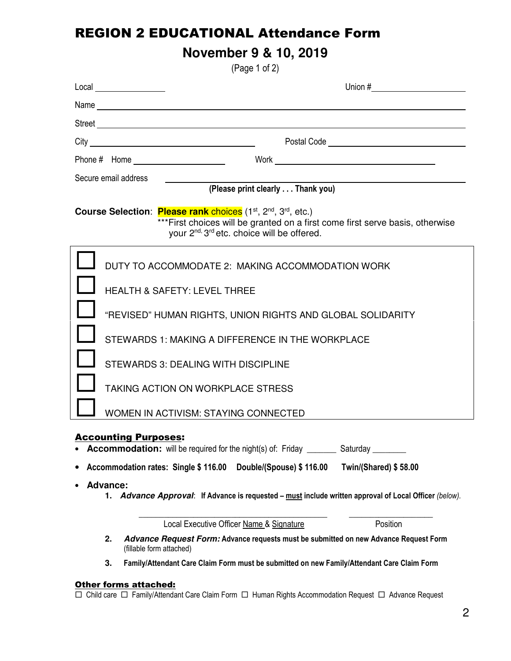## REGION 2 EDUCATIONAL Attendance Form

# **November 9 & 10, 2019**

(Page 1 of 2)

| Secure email address  |                                                                                                                                                                                                                                                                                                                             |  |  |
|-----------------------|-----------------------------------------------------------------------------------------------------------------------------------------------------------------------------------------------------------------------------------------------------------------------------------------------------------------------------|--|--|
|                       | (Please print clearly Thank you)                                                                                                                                                                                                                                                                                            |  |  |
|                       | Course Selection: Please rank choices (1 <sup>st</sup> , 2 <sup>nd</sup> , 3 <sup>rd</sup> , etc.)<br>*** First choices will be granted on a first come first serve basis, otherwise<br>your 2 <sup>nd, 3rd</sup> etc. choice will be offered.                                                                              |  |  |
|                       | DUTY TO ACCOMMODATE 2: MAKING ACCOMMODATION WORK                                                                                                                                                                                                                                                                            |  |  |
|                       | <b>HEALTH &amp; SAFETY: LEVEL THREE</b>                                                                                                                                                                                                                                                                                     |  |  |
|                       | "REVISED" HUMAN RIGHTS, UNION RIGHTS AND GLOBAL SOLIDARITY                                                                                                                                                                                                                                                                  |  |  |
|                       | STEWARDS 1: MAKING A DIFFERENCE IN THE WORKPLACE                                                                                                                                                                                                                                                                            |  |  |
|                       | STEWARDS 3: DEALING WITH DISCIPLINE                                                                                                                                                                                                                                                                                         |  |  |
|                       | <b>TAKING ACTION ON WORKPLACE STRESS</b>                                                                                                                                                                                                                                                                                    |  |  |
|                       | WOMEN IN ACTIVISM: STAYING CONNECTED                                                                                                                                                                                                                                                                                        |  |  |
| <b>Advance:</b><br>1. | <b>Accounting Purposes:</b><br>• Accommodation: will be required for the night(s) of: Friday ________ Saturday _<br>Accommodation rates: Single \$116.00<br>Double/(Spouse) \$116.00<br><b>Twin/(Shared) \$58.00</b><br>Advance Approval: If Advance is requested - must include written approval of Local Officer (below). |  |  |
|                       | Local Executive Officer Name & Signature<br>Position                                                                                                                                                                                                                                                                        |  |  |
| 2.                    | Advance Request Form: Advance requests must be submitted on new Advance Request Form<br>(fillable form attached)                                                                                                                                                                                                            |  |  |
| 3.                    | Family/Attendant Care Claim Form must be submitted on new Family/Attendant Care Claim Form                                                                                                                                                                                                                                  |  |  |

#### Other forms attached:

 $\Box$  Child care  $\Box$  Family/Attendant Care Claim Form  $\Box$  Human Rights Accommodation Request  $\Box$  Advance Request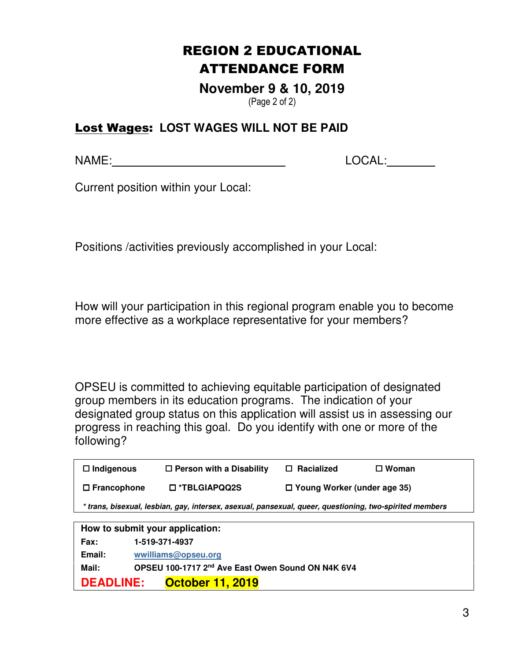# REGION 2 EDUCATIONAL ATTENDANCE FORM

**November 9 & 10, 2019**  (Page 2 of 2)

## Lost Wages: **LOST WAGES WILL NOT BE PAID**

NAME: LOCAL:

Current position within your Local:

Positions /activities previously accomplished in your Local:

How will your participation in this regional program enable you to become more effective as a workplace representative for your members?

OPSEU is committed to achieving equitable participation of designated group members in its education programs. The indication of your designated group status on this application will assist us in assessing our progress in reaching this goal. Do you identify with one or more of the following?

| $\Box$ Indigenous                                                                                       | $\Box$ Person with a Disability | $\Box$ Racialized                  | $\square$ Woman |  |
|---------------------------------------------------------------------------------------------------------|---------------------------------|------------------------------------|-----------------|--|
| $\Box$ Francophone                                                                                      | □ *TBLGIAPQQ2S                  | $\Box$ Young Worker (under age 35) |                 |  |
| * trans, bisexual, lesbian, gay, intersex, asexual, pansexual, queer, questioning, two-spirited members |                                 |                                    |                 |  |
|                                                                                                         |                                 |                                    |                 |  |

| How to submit your application: |                                                   |  |  |
|---------------------------------|---------------------------------------------------|--|--|
| Fax:                            | 1-519-371-4937                                    |  |  |
| Email:                          | wwilliams@opseu.org                               |  |  |
| Mail:                           | OPSEU 100-1717 2nd Ave East Owen Sound ON N4K 6V4 |  |  |
| <b>DEADLINE:</b>                | <b>October 11, 2019</b>                           |  |  |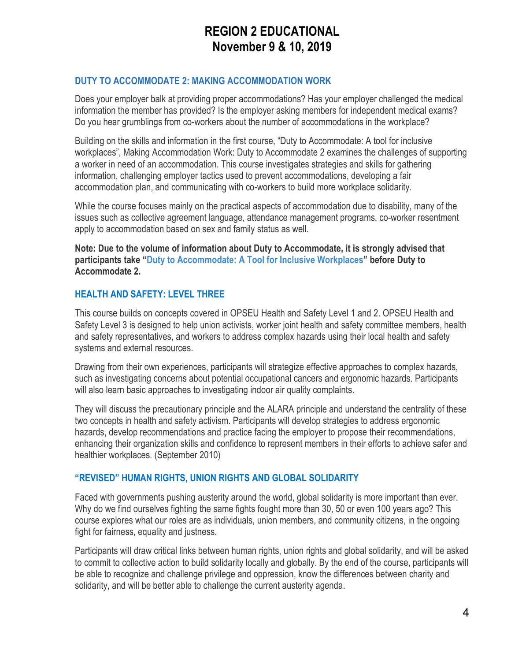## REGION 2 EDUCATIONAL November 9 & 10, 2019

## DUTY TO ACCOMMODATE 2: MAKING ACCOMMODATION WORK

Does your employer balk at providing proper accommodations? Has your employer challenged the medical information the member has provided? Is the employer asking members for independent medical exams? Do you hear grumblings from co-workers about the number of accommodations in the workplace?

Building on the skills and information in the first course, "Duty to Accommodate: A tool for inclusive workplaces", Making Accommodation Work: Duty to Accommodate 2 examines the challenges of supporting a worker in need of an accommodation. This course investigates strategies and skills for gathering information, challenging employer tactics used to prevent accommodations, developing a fair accommodation plan, and communicating with co-workers to build more workplace solidarity.

While the course focuses mainly on the practical aspects of accommodation due to disability, many of the issues such as collective agreement language, attendance management programs, co-worker resentment apply to accommodation based on sex and family status as well.

Note: Due to the volume of information about Duty to Accommodate, it is strongly advised that participants take "Duty to Accommodate: A Tool for Inclusive Workplaces" before Duty to Accommodate 2.

## HEALTH AND SAFETY: LEVEL THREE

This course builds on concepts covered in OPSEU Health and Safety Level 1 and 2. OPSEU Health and Safety Level 3 is designed to help union activists, worker joint health and safety committee members, health and safety representatives, and workers to address complex hazards using their local health and safety systems and external resources.

Drawing from their own experiences, participants will strategize effective approaches to complex hazards, such as investigating concerns about potential occupational cancers and ergonomic hazards. Participants will also learn basic approaches to investigating indoor air quality complaints.

They will discuss the precautionary principle and the ALARA principle and understand the centrality of these two concepts in health and safety activism. Participants will develop strategies to address ergonomic hazards, develop recommendations and practice facing the employer to propose their recommendations, enhancing their organization skills and confidence to represent members in their efforts to achieve safer and healthier workplaces. (September 2010)

#### "REVISED" HUMAN RIGHTS, UNION RIGHTS AND GLOBAL SOLIDARITY

Faced with governments pushing austerity around the world, global solidarity is more important than ever. Why do we find ourselves fighting the same fights fought more than 30, 50 or even 100 years ago? This course explores what our roles are as individuals, union members, and community citizens, in the ongoing fight for fairness, equality and justness.

Participants will draw critical links between human rights, union rights and global solidarity, and will be asked to commit to collective action to build solidarity locally and globally. By the end of the course, participants will be able to recognize and challenge privilege and oppression, know the differences between charity and solidarity, and will be better able to challenge the current austerity agenda.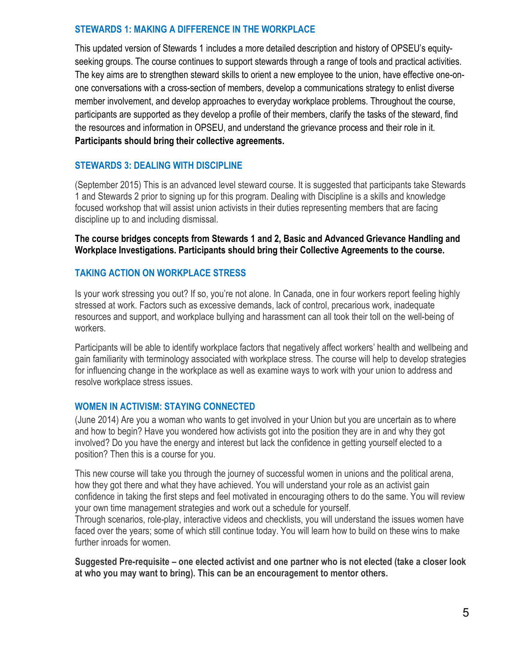## STEWARDS 1: MAKING A DIFFERENCE IN THE WORKPLACE

This updated version of Stewards 1 includes a more detailed description and history of OPSEU's equityseeking groups. The course continues to support stewards through a range of tools and practical activities. The key aims are to strengthen steward skills to orient a new employee to the union, have effective one-onone conversations with a cross-section of members, develop a communications strategy to enlist diverse member involvement, and develop approaches to everyday workplace problems. Throughout the course, participants are supported as they develop a profile of their members, clarify the tasks of the steward, find the resources and information in OPSEU, and understand the grievance process and their role in it. Participants should bring their collective agreements.

## STEWARDS 3: DEALING WITH DISCIPLINE

(September 2015) This is an advanced level steward course. It is suggested that participants take Stewards 1 and Stewards 2 prior to signing up for this program. Dealing with Discipline is a skills and knowledge focused workshop that will assist union activists in their duties representing members that are facing discipline up to and including dismissal.

The course bridges concepts from Stewards 1 and 2, Basic and Advanced Grievance Handling and Workplace Investigations. Participants should bring their Collective Agreements to the course.

## TAKING ACTION ON WORKPLACE STRESS

Is your work stressing you out? If so, you're not alone. In Canada, one in four workers report feeling highly stressed at work. Factors such as excessive demands, lack of control, precarious work, inadequate resources and support, and workplace bullying and harassment can all took their toll on the well-being of workers.

Participants will be able to identify workplace factors that negatively affect workers' health and wellbeing and gain familiarity with terminology associated with workplace stress. The course will help to develop strategies for influencing change in the workplace as well as examine ways to work with your union to address and resolve workplace stress issues.

#### WOMEN IN ACTIVISM: STAYING CONNECTED

(June 2014) Are you a woman who wants to get involved in your Union but you are uncertain as to where and how to begin? Have you wondered how activists got into the position they are in and why they got involved? Do you have the energy and interest but lack the confidence in getting yourself elected to a position? Then this is a course for you.

This new course will take you through the journey of successful women in unions and the political arena, how they got there and what they have achieved. You will understand your role as an activist gain confidence in taking the first steps and feel motivated in encouraging others to do the same. You will review your own time management strategies and work out a schedule for yourself.

Through scenarios, role-play, interactive videos and checklists, you will understand the issues women have faced over the years; some of which still continue today. You will learn how to build on these wins to make further inroads for women.

Suggested Pre-requisite – one elected activist and one partner who is not elected (take a closer look at who you may want to bring). This can be an encouragement to mentor others.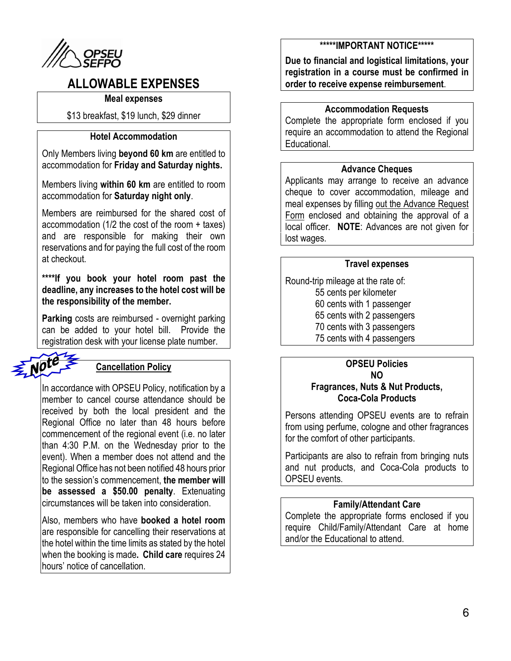

## ALLOWABLE EXPENSES

#### Meal expenses

\$13 breakfast, \$19 lunch, \$29 dinner

## Hotel Accommodation

Only Members living beyond 60 km are entitled to accommodation for Friday and Saturday nights.

Members living within 60 km are entitled to room accommodation for Saturday night only.

Members are reimbursed for the shared cost of accommodation (1/2 the cost of the room + taxes) and are responsible for making their own reservations and for paying the full cost of the room at checkout.

\*\*\*\*If you book your hotel room past the deadline, any increases to the hotel cost will be the responsibility of the member.

Parking costs are reimbursed - overnight parking can be added to your hotel bill. Provide the registration desk with your license plate number.



## Cancellation Policy

In accordance with OPSEU Policy, notification by a member to cancel course attendance should be received by both the local president and the Regional Office no later than 48 hours before commencement of the regional event (i.e. no later than 4:30 P.M. on the Wednesday prior to the event). When a member does not attend and the Regional Office has not been notified 48 hours prior to the session's commencement, the member will be assessed a \$50.00 penalty. Extenuating circumstances will be taken into consideration.

Also, members who have **booked a hotel room** are responsible for cancelling their reservations at the hotel within the time limits as stated by the hotel when the booking is made. Child care requires 24 hours' notice of cancellation.

### \*\*\*\*\*IMPORTANT NOTICE\*\*\*\*\*

Due to financial and logistical limitations, your registration in a course must be confirmed in order to receive expense reimbursement.

### Accommodation Requests

Complete the appropriate form enclosed if you require an accommodation to attend the Regional Educational.

### Advance Cheques

Applicants may arrange to receive an advance cheque to cover accommodation, mileage and meal expenses by filling out the Advance Request Form enclosed and obtaining the approval of a local officer. NOTE: Advances are not given for lost wages.

#### Travel expenses

Round-trip mileage at the rate of:

- 55 cents per kilometer
- 60 cents with 1 passenger
- 65 cents with 2 passengers
- 70 cents with 3 passengers
- 75 cents with 4 passengers

#### OPSEU Policies NO

## Fragrances, Nuts & Nut Products, Coca-Cola Products

Persons attending OPSEU events are to refrain from using perfume, cologne and other fragrances for the comfort of other participants.

Participants are also to refrain from bringing nuts and nut products, and Coca-Cola products to OPSEU events.

#### Family/Attendant Care

Complete the appropriate forms enclosed if you require Child/Family/Attendant Care at home and/or the Educational to attend.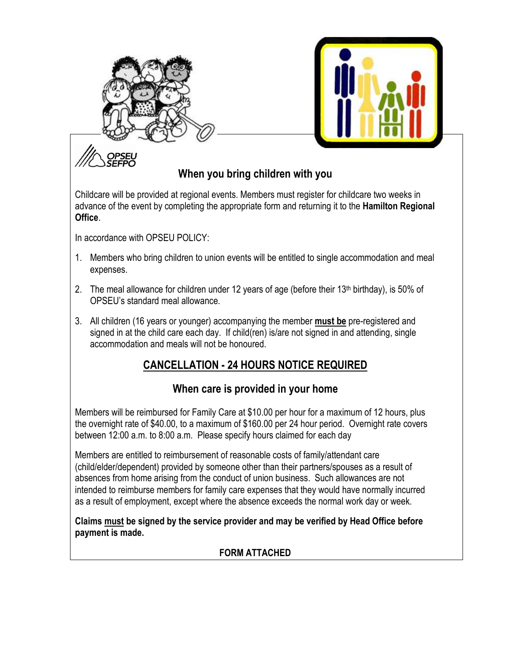



# When you bring children with you

Childcare will be provided at regional events. Members must register for childcare two weeks in advance of the event by completing the appropriate form and returning it to the **Hamilton Regional Office** 

In accordance with OPSEU POLICY:

- 1. Members who bring children to union events will be entitled to single accommodation and meal expenses.
- 2. The meal allowance for children under 12 years of age (before their 13<sup>th</sup> birthday), is 50% of OPSEU's standard meal allowance.
- 3. All children (16 years or younger) accompanying the member must be pre-registered and signed in at the child care each day. If child(ren) is/are not signed in and attending, single accommodation and meals will not be honoured.

## CANCELLATION - 24 HOURS NOTICE REQUIRED

## When care is provided in your home

Members will be reimbursed for Family Care at \$10.00 per hour for a maximum of 12 hours, plus the overnight rate of \$40.00, to a maximum of \$160.00 per 24 hour period. Overnight rate covers between 12:00 a.m. to 8:00 a.m. Please specify hours claimed for each day

Members are entitled to reimbursement of reasonable costs of family/attendant care (child/elder/dependent) provided by someone other than their partners/spouses as a result of absences from home arising from the conduct of union business. Such allowances are not intended to reimburse members for family care expenses that they would have normally incurred as a result of employment, except where the absence exceeds the normal work day or week.

Claims must be signed by the service provider and may be verified by Head Office before payment is made.

## FORM ATTACHED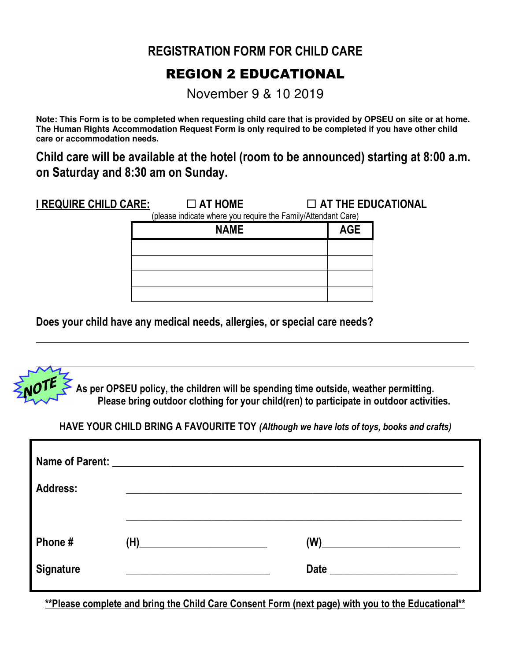## REGISTRATION FORM FOR CHILD CARE

## REGION 2 EDUCATIONAL

November 9 & 10 2019

**Note: This Form is to be completed when requesting child care that is provided by OPSEU on site or at home. The Human Rights Accommodation Request Form is only required to be completed if you have other child care or accommodation needs.** 

Child care will be available at the hotel (room to be announced) starting at 8:00 a.m. on Saturday and 8:30 am on Sunday.

I REQUIRE CHILD CARE:  $\Box$  AT HOME  $\Box$  AT THE EDUCATIONAL

(please indicate where you require the Family/Attendant Care)

| $\mathbf{u}$<br><b>NAME</b> | <b>AGE</b> |
|-----------------------------|------------|
|                             |            |
|                             |            |
|                             |            |
|                             |            |

Does your child have any medical needs, allergies, or special care needs?



HAVE YOUR CHILD BRING A FAVOURITE TOY (Although we have lots of toys, books and crafts)

| <b>Address:</b>            |                                                                                                                                                                                                                                                                                                                                                     |                                                            |
|----------------------------|-----------------------------------------------------------------------------------------------------------------------------------------------------------------------------------------------------------------------------------------------------------------------------------------------------------------------------------------------------|------------------------------------------------------------|
| Phone#<br><b>Signature</b> | $\begin{picture}(18,10) \put(0,0){\line(1,0){10}} \put(10,0){\line(1,0){10}} \put(10,0){\line(1,0){10}} \put(10,0){\line(1,0){10}} \put(10,0){\line(1,0){10}} \put(10,0){\line(1,0){10}} \put(10,0){\line(1,0){10}} \put(10,0){\line(1,0){10}} \put(10,0){\line(1,0){10}} \put(10,0){\line(1,0){10}} \put(10,0){\line(1,0){10}} \put(10,0){\line(1$ | (W)<br><u> 1989 - Andrea Station Barbara, amerikan per</u> |

\*\*Please complete and bring the Child Care Consent Form (next page) with you to the Educational\*\*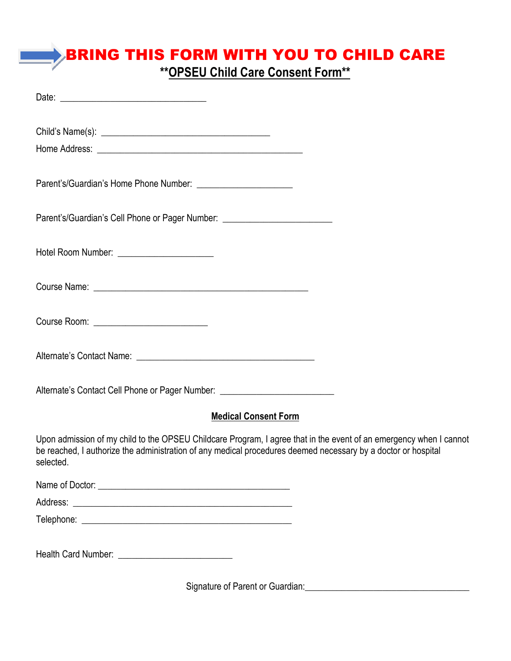# BRING THIS FORM WITH YOU TO CHILD CARE

\*\*OPSEU Child Care Consent Form\*\*

| Parent's/Guardian's Cell Phone or Pager Number: ________________________________                                                                                                                                                                 |
|--------------------------------------------------------------------------------------------------------------------------------------------------------------------------------------------------------------------------------------------------|
| Hotel Room Number: _________________________                                                                                                                                                                                                     |
|                                                                                                                                                                                                                                                  |
| Course Room: <u>__________________________</u>                                                                                                                                                                                                   |
| Alternate's Contact Name: \\contact Name: \\contact Name: \\contact Name: \\contact Name: \\contact Name: \\contact Name: \\contact Name \\contact Name: \\contact Name: \\contact Name: \\contact Name: \\contact Name: \\con                   |
| Alternate's Contact Cell Phone or Pager Number: ________________________________                                                                                                                                                                 |
| <b>Medical Consent Form</b>                                                                                                                                                                                                                      |
| Upon admission of my child to the OPSEU Childcare Program, I agree that in the event of an emergency when I cannot<br>be reached, I authorize the administration of any medical procedures deemed necessary by a doctor or hospital<br>selected. |
|                                                                                                                                                                                                                                                  |
|                                                                                                                                                                                                                                                  |
|                                                                                                                                                                                                                                                  |
|                                                                                                                                                                                                                                                  |
| Signature of Parent or Guardian: Change and Signature of Parent or Guardian:                                                                                                                                                                     |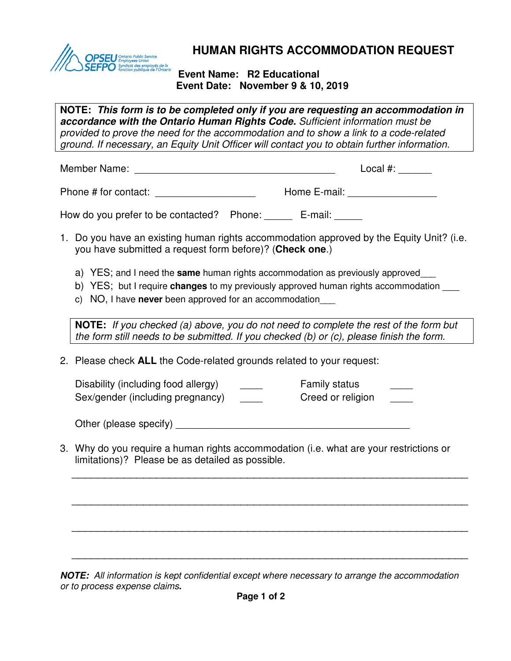

## **HUMAN RIGHTS ACCOMMODATION REQUEST**

## **Event Name: R2 Educational Event Date: November 9 & 10, 2019**

**NOTE: This form is to be completed only if you are requesting an accommodation in accordance with the Ontario Human Rights Code.** Sufficient information must be provided to prove the need for the accommodation and to show a link to a code-related ground. If necessary, an Equity Unit Officer will contact you to obtain further information.

Member Name: \_\_\_\_\_\_\_\_\_\_\_\_\_\_\_\_\_\_\_\_\_\_\_\_\_\_\_\_\_\_\_\_\_\_\_\_ Local #: \_\_\_\_\_\_

Phone # for contact: <br>
Home E-mail:

How do you prefer to be contacted? Phone: \_\_\_\_\_ E-mail: \_\_\_\_\_

- 1. Do you have an existing human rights accommodation approved by the Equity Unit? (i.e. you have submitted a request form before)? (**Check one**.)
	- a) YES; and I need the **same** human rights accommodation as previously approved \_\_\_
	- b) YES; but I require **changes** to my previously approved human rights accommodation \_\_\_
	- c) NO, I have **never** been approved for an accommodation\_\_\_

**NOTE:** If you checked (a) above, you do not need to complete the rest of the form but the form still needs to be submitted. If you checked (b) or (c), please finish the form.

2. Please check **ALL** the Code-related grounds related to your request:

| Disability (including food allergy) | <b>Family status</b> |  |
|-------------------------------------|----------------------|--|
| Sex/gender (including pregnancy)    | Creed or religion    |  |

Other (please specify)  $\Box$ 

3. Why do you require a human rights accommodation (i.e. what are your restrictions or limitations)? Please be as detailed as possible.

\_\_\_\_\_\_\_\_\_\_\_\_\_\_\_\_\_\_\_\_\_\_\_\_\_\_\_\_\_\_\_\_\_\_\_\_\_\_\_\_\_\_\_\_\_\_\_\_\_\_\_\_\_\_\_\_\_\_\_\_\_

\_\_\_\_\_\_\_\_\_\_\_\_\_\_\_\_\_\_\_\_\_\_\_\_\_\_\_\_\_\_\_\_\_\_\_\_\_\_\_\_\_\_\_\_\_\_\_\_\_\_\_\_\_\_\_\_\_\_\_\_\_

\_\_\_\_\_\_\_\_\_\_\_\_\_\_\_\_\_\_\_\_\_\_\_\_\_\_\_\_\_\_\_\_\_\_\_\_\_\_\_\_\_\_\_\_\_\_\_\_\_\_\_\_\_\_\_\_\_\_\_\_\_

\_\_\_\_\_\_\_\_\_\_\_\_\_\_\_\_\_\_\_\_\_\_\_\_\_\_\_\_\_\_\_\_\_\_\_\_\_\_\_\_\_\_\_\_\_\_\_\_\_\_\_\_\_\_\_\_\_\_\_\_\_

**NOTE:** All information is kept confidential except where necessary to arrange the accommodation or to process expense claims**.**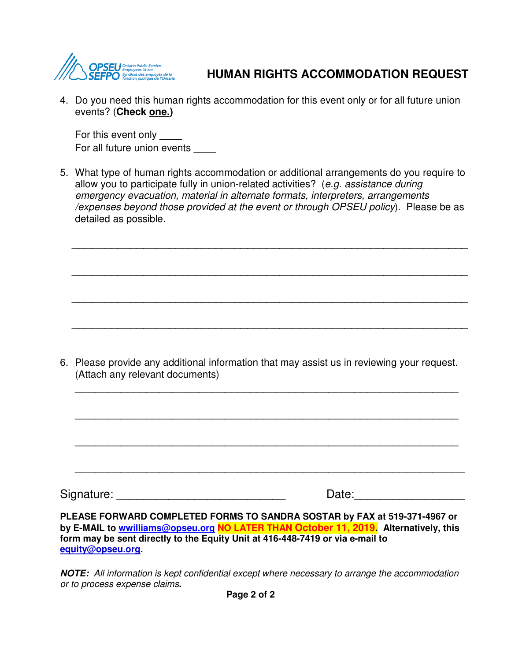

## **HUMAN RIGHTS ACCOMMODATION REQUEST**

4. Do you need this human rights accommodation for this event only or for all future union events? (**Check one.)**

For this event only For all future union events

5. What type of human rights accommodation or additional arrangements do you require to allow you to participate fully in union-related activities? (e.g. assistance during emergency evacuation, material in alternate formats, interpreters, arrangements /expenses beyond those provided at the event or through OPSEU policy). Please be as detailed as possible.

\_\_\_\_\_\_\_\_\_\_\_\_\_\_\_\_\_\_\_\_\_\_\_\_\_\_\_\_\_\_\_\_\_\_\_\_\_\_\_\_\_\_\_\_\_\_\_\_\_\_\_\_\_\_\_\_\_\_\_\_\_

\_\_\_\_\_\_\_\_\_\_\_\_\_\_\_\_\_\_\_\_\_\_\_\_\_\_\_\_\_\_\_\_\_\_\_\_\_\_\_\_\_\_\_\_\_\_\_\_\_\_\_\_\_\_\_\_\_\_\_\_\_

\_\_\_\_\_\_\_\_\_\_\_\_\_\_\_\_\_\_\_\_\_\_\_\_\_\_\_\_\_\_\_\_\_\_\_\_\_\_\_\_\_\_\_\_\_\_\_\_\_\_\_\_\_\_\_\_\_\_\_\_\_

\_\_\_\_\_\_\_\_\_\_\_\_\_\_\_\_\_\_\_\_\_\_\_\_\_\_\_\_\_\_\_\_\_\_\_\_\_\_\_\_\_\_\_\_\_\_\_\_\_\_\_\_\_\_\_\_\_\_\_\_\_

6. Please provide any additional information that may assist us in reviewing your request. (Attach any relevant documents)

\_\_\_\_\_\_\_\_\_\_\_\_\_\_\_\_\_\_\_\_\_\_\_\_\_\_\_\_\_\_\_\_\_\_\_\_\_\_\_\_\_\_\_\_\_\_\_\_\_\_\_\_\_\_\_\_\_\_\_

\_\_\_\_\_\_\_\_\_\_\_\_\_\_\_\_\_\_\_\_\_\_\_\_\_\_\_\_\_\_\_\_\_\_\_\_\_\_\_\_\_\_\_\_\_\_\_\_\_\_\_\_\_\_\_\_\_\_\_

\_\_\_\_\_\_\_\_\_\_\_\_\_\_\_\_\_\_\_\_\_\_\_\_\_\_\_\_\_\_\_\_\_\_\_\_\_\_\_\_\_\_\_\_\_\_\_\_\_\_\_\_\_\_\_\_\_\_\_

\_\_\_\_\_\_\_\_\_\_\_\_\_\_\_\_\_\_\_\_\_\_\_\_\_\_\_\_\_\_\_\_\_\_\_\_\_\_\_\_\_\_\_\_\_\_\_\_\_\_\_\_\_\_\_\_\_\_\_\_

Signature: \_\_\_\_\_\_\_\_\_\_\_\_\_\_\_\_\_\_\_\_\_\_\_\_\_\_ Date:\_\_\_\_\_\_\_\_\_\_\_\_\_\_\_\_\_

**PLEASE FORWARD COMPLETED FORMS TO SANDRA SOSTAR by FAX at 519-371-4967 or by E-MAIL to wwilliams@opseu.org NO LATER THAN October 11, 2019. Alternatively, this form may be sent directly to the Equity Unit at 416-448-7419 or via e-mail to equity@opseu.org.** 

**NOTE:** All information is kept confidential except where necessary to arrange the accommodation or to process expense claims**.**